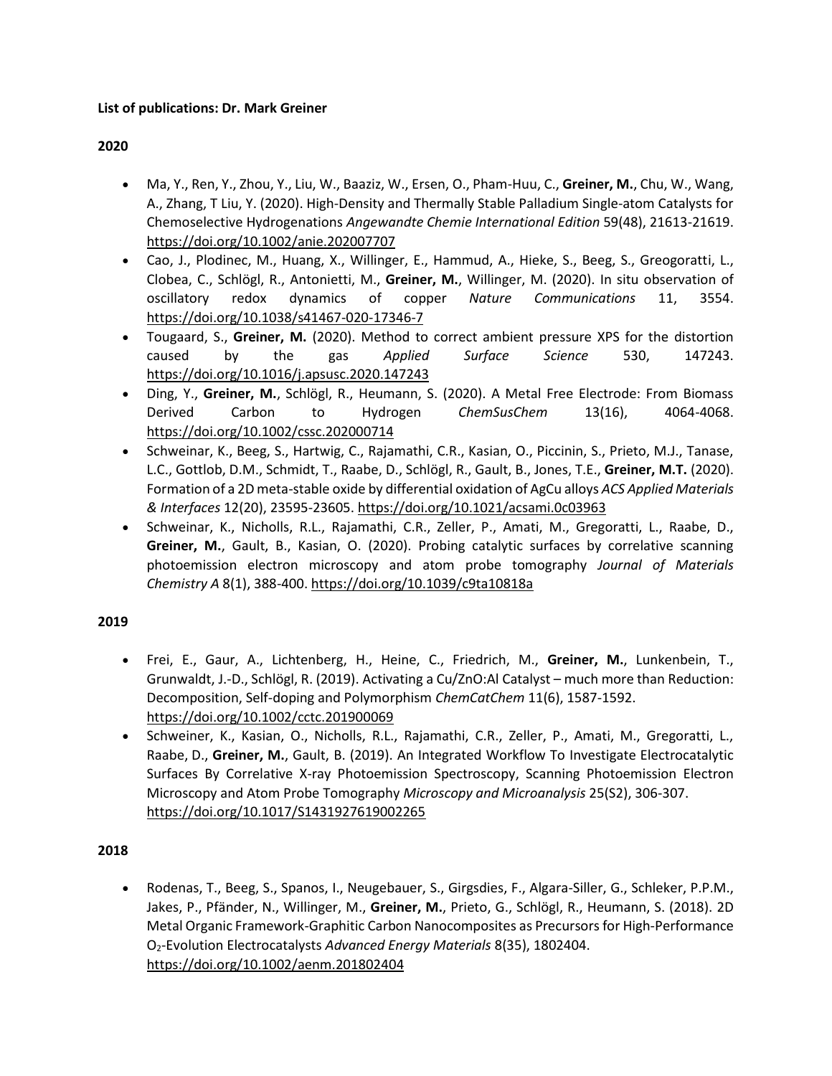## **List of publications: Dr. Mark Greiner**

## **2020**

- Ma, Y., Ren, Y., Zhou, Y., Liu, W., Baaziz, W., Ersen, O., Pham-Huu, C., **Greiner, M.**, Chu, W., Wang, A., Zhang, T Liu, Y. (2020). High‐Density and Thermally Stable Palladium Single‐atom Catalysts for Chemoselective Hydrogenations *Angewandte Chemie International Edition* 59(48), 21613-21619. <https://doi.org/10.1002/anie.202007707>
- Cao, J., Plodinec, M., Huang, X., Willinger, E., Hammud, A., Hieke, S., Beeg, S., Greogoratti, L., Clobea, C., Schlögl, R., Antonietti, M., **Greiner, M.**, Willinger, M. (2020). In situ observation of oscillatory redox dynamics of copper *Nature Communications* 11, 3554. <https://doi.org/10.1038/s41467-020-17346-7>
- Tougaard, S., **Greiner, M.** (2020). Method to correct ambient pressure XPS for the distortion caused by the gas *Applied Surface Science* 530, 147243. <https://doi.org/10.1016/j.apsusc.2020.147243>
- Ding, Y., **Greiner, M.**, Schlögl, R., Heumann, S. (2020). A Metal Free Electrode: From Biomass Derived Carbon to Hydrogen *ChemSusChem* 13(16), 4064-4068. <https://doi.org/10.1002/cssc.202000714>
- Schweinar, K., Beeg, S., Hartwig, C., Rajamathi, C.R., Kasian, O., Piccinin, S., Prieto, M.J., Tanase, L.C., Gottlob, D.M., Schmidt, T., Raabe, D., Schlögl, R., Gault, B., Jones, T.E., **Greiner, M.T.** (2020). Formation of a 2D meta-stable oxide by differential oxidation of AgCu alloys *ACS Applied Materials & Interfaces* 12(20), 23595-23605. <https://doi.org/10.1021/acsami.0c03963>
- Schweinar, K., Nicholls, R.L., Rajamathi, C.R., Zeller, P., Amati, M., Gregoratti, L., Raabe, D., **Greiner, M.**, Gault, B., Kasian, O. (2020). Probing catalytic surfaces by correlative scanning photoemission electron microscopy and atom probe tomography *Journal of Materials Chemistry A* 8(1), 388-400. <https://doi.org/10.1039/c9ta10818a>

## **2019**

- Frei, E., Gaur, A., Lichtenberg, H., Heine, C., Friedrich, M., **Greiner, M.**, Lunkenbein, T., Grunwaldt, J.-D., Schlögl, R. (2019). Activating a Cu/ZnO:Al Catalyst – much more than Reduction: Decomposition, Self‐doping and Polymorphism *ChemCatChem* 11(6), 1587-1592. <https://doi.org/10.1002/cctc.201900069>
- Schweiner, K., Kasian, O., Nicholls, R.L., Rajamathi, C.R., Zeller, P., Amati, M., Gregoratti, L., Raabe, D., **Greiner, M.**, Gault, B. (2019). An Integrated Workflow To Investigate Electrocatalytic Surfaces By Correlative X-ray Photoemission Spectroscopy, Scanning Photoemission Electron Microscopy and Atom Probe Tomography *Microscopy and Microanalysis* 25(S2), 306-307. <https://doi.org/10.1017/S1431927619002265>

## **2018**

• Rodenas, T., Beeg, S., Spanos, I., Neugebauer, S., Girgsdies, F., Algara-Siller, G., Schleker, P.P.M., Jakes, P., Pfänder, N., Willinger, M., **Greiner, M.**, Prieto, G., Schlögl, R., Heumann, S. (2018). 2D Metal Organic Framework-Graphitic Carbon Nanocomposites as Precursors for High-Performance O2-Evolution Electrocatalysts *Advanced Energy Materials* 8(35), 1802404. <https://doi.org/10.1002/aenm.201802404>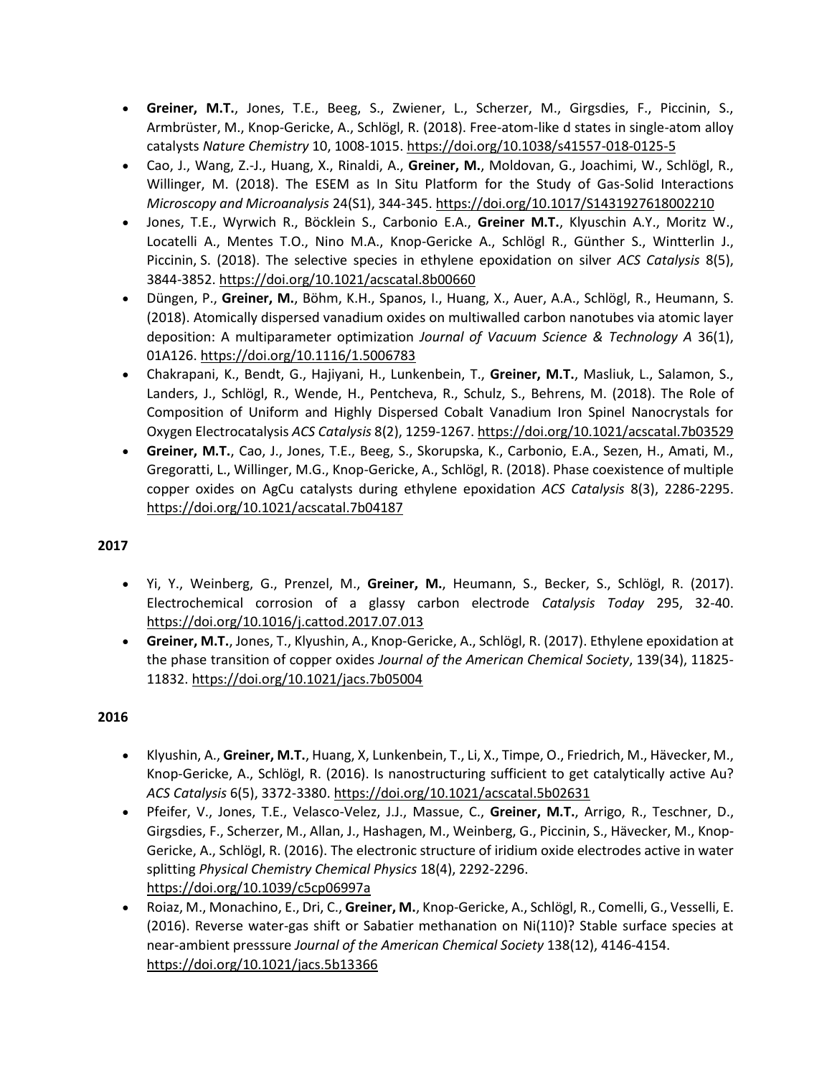- **Greiner, M.T.**, Jones, T.E., Beeg, S., Zwiener, L., Scherzer, M., Girgsdies, F., Piccinin, S., Armbrüster, M., Knop-Gericke, A., Schlögl, R. (2018). Free-atom-like d states in single-atom alloy catalysts *Nature Chemistry* 10, 1008-1015[. https://doi.org/10.1038/s41557-018-0125-5](https://doi.org/10.1038/s41557-018-0125-5)
- Cao, J., Wang, Z.-J., Huang, X., Rinaldi, A., **Greiner, M.**, Moldovan, G., Joachimi, W., Schlögl, R., Willinger, M. (2018). The ESEM as In Situ Platform for the Study of Gas-Solid Interactions *Microscopy and Microanalysis* 24(S1), 344-345[. https://doi.org/10.1017/S1431927618002210](https://doi.org/10.1017/S1431927618002210)
- Jones, T.E., Wyrwich R., Böcklein S., Carbonio E.A., **Greiner M.T.**, Klyuschin A.Y., Moritz W., Locatelli A., Mentes T.O., Nino M.A., Knop-Gericke A., Schlögl R., Günther S., Wintterlin J., Piccinin, S. (2018). The selective species in ethylene epoxidation on silver *ACS Catalysis* 8(5), 3844-3852. <https://doi.org/10.1021/acscatal.8b00660>
- Düngen, P., **Greiner, M.**, Böhm, K.H., Spanos, I., Huang, X., Auer, A.A., Schlögl, R., Heumann, S. (2018). Atomically dispersed vanadium oxides on multiwalled carbon nanotubes via atomic layer deposition: A multiparameter optimization *Journal of Vacuum Science & Technology A* 36(1), 01A126[. https://doi.org/10.1116/1.5006783](https://doi.org/10.1116/1.5006783)
- Chakrapani, K., Bendt, G., Hajiyani, H., Lunkenbein, T., **Greiner, M.T.**, Masliuk, L., Salamon, S., Landers, J., Schlögl, R., Wende, H., Pentcheva, R., Schulz, S., Behrens, M. (2018). The Role of Composition of Uniform and Highly Dispersed Cobalt Vanadium Iron Spinel Nanocrystals for Oxygen Electrocatalysis *ACS Catalysis* 8(2), 1259-1267. <https://doi.org/10.1021/acscatal.7b03529>
- **Greiner, M.T.**, Cao, J., Jones, T.E., Beeg, S., Skorupska, K., Carbonio, E.A., Sezen, H., Amati, M., Gregoratti, L., Willinger, M.G., Knop-Gericke, A., Schlögl, R. (2018). Phase coexistence of multiple copper oxides on AgCu catalysts during ethylene epoxidation *ACS Catalysis* 8(3), 2286-2295. <https://doi.org/10.1021/acscatal.7b04187>

- Yi, Y., Weinberg, G., Prenzel, M., **Greiner, M.**, Heumann, S., Becker, S., Schlögl, R. (2017). Electrochemical corrosion of a glassy carbon electrode *Catalysis Today* 295, 32-40. <https://doi.org/10.1016/j.cattod.2017.07.013>
- **Greiner, M.T.**, Jones, T., Klyushin, A., Knop-Gericke, A., Schlögl, R. (2017). Ethylene epoxidation at the phase transition of copper oxides *Journal of the American Chemical Society*, 139(34), 11825- 11832. <https://doi.org/10.1021/jacs.7b05004>

- Klyushin, A., **Greiner, M.T.**, Huang, X, Lunkenbein, T., Li, X., Timpe, O., Friedrich, M., Hävecker, M., Knop-Gericke, A., Schlögl, R. (2016). Is nanostructuring sufficient to get catalytically active Au? *ACS Catalysis* 6(5), 3372-3380. <https://doi.org/10.1021/acscatal.5b02631>
- Pfeifer, V., Jones, T.E., Velasco-Velez, J.J., Massue, C., **Greiner, M.T.**, Arrigo, R., Teschner, D., Girgsdies, F., Scherzer, M., Allan, J., Hashagen, M., Weinberg, G., Piccinin, S., Hävecker, M., Knop-Gericke, A., Schlögl, R. (2016). The electronic structure of iridium oxide electrodes active in water splitting *Physical Chemistry Chemical Physics* 18(4), 2292-2296. <https://doi.org/10.1039/c5cp06997a>
- Roiaz, M., Monachino, E., Dri, C., **Greiner, M.**, Knop-Gericke, A., Schlögl, R., Comelli, G., Vesselli, E. (2016). Reverse water-gas shift or Sabatier methanation on Ni(110)? Stable surface species at near-ambient presssure *Journal of the American Chemical Society* 138(12), 4146-4154. <https://doi.org/10.1021/jacs.5b13366>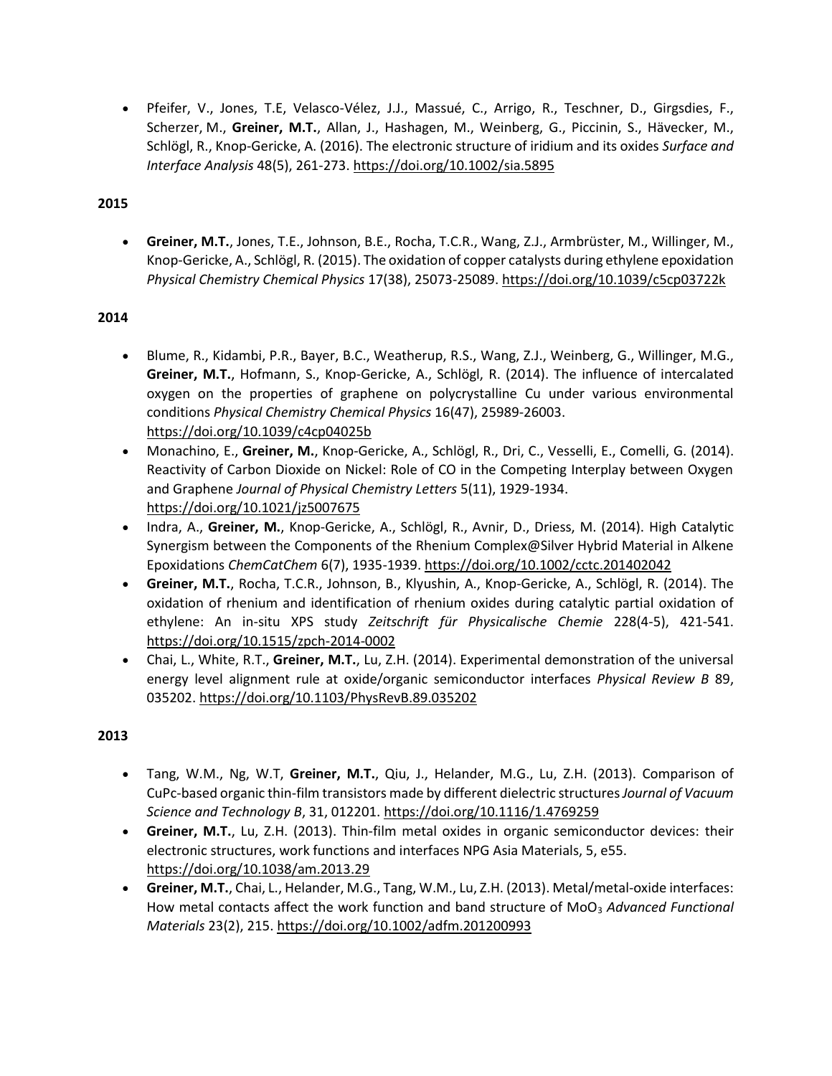• Pfeifer, V., Jones, T.E, Velasco-Vélez, J.J., Massué, C., Arrigo, R., Teschner, D., Girgsdies, F., Scherzer, M., **Greiner, M.T.**, Allan, J., Hashagen, M., Weinberg, G., Piccinin, S., Hävecker, M., Schlögl, R., Knop-Gericke, A. (2016). The electronic structure of iridium and its oxides *Surface and Interface Analysis* 48(5), 261-273. <https://doi.org/10.1002/sia.5895>

## **2015**

• **Greiner, M.T.**, Jones, T.E., Johnson, B.E., Rocha, T.C.R., Wang, Z.J., Armbrüster, M., Willinger, M., Knop-Gericke, A., Schlögl, R. (2015). The oxidation of copper catalysts during ethylene epoxidation *Physical Chemistry Chemical Physics* 17(38), 25073-25089. <https://doi.org/10.1039/c5cp03722k>

## **2014**

- Blume, R., Kidambi, P.R., Bayer, B.C., Weatherup, R.S., Wang, Z.J., Weinberg, G., Willinger, M.G., **Greiner, M.T.**, Hofmann, S., Knop-Gericke, A., Schlögl, R. (2014). The influence of intercalated oxygen on the properties of graphene on polycrystalline Cu under various environmental conditions *Physical Chemistry Chemical Physics* 16(47), 25989-26003. <https://doi.org/10.1039/c4cp04025b>
- Monachino, E., **Greiner, M.**, Knop-Gericke, A., Schlögl, R., Dri, C., Vesselli, E., Comelli, G. (2014). Reactivity of Carbon Dioxide on Nickel: Role of CO in the Competing Interplay between Oxygen and Graphene *Journal of Physical Chemistry Letters* 5(11), 1929-1934. <https://doi.org/10.1021/jz5007675>
- Indra, A., **Greiner, M.**, Knop-Gericke, A., Schlögl, R., Avnir, D., Driess, M. (2014). High Catalytic Synergism between the Components of the Rhenium Complex@Silver Hybrid Material in Alkene Epoxidations *ChemCatChem* 6(7), 1935-1939. <https://doi.org/10.1002/cctc.201402042>
- **Greiner, M.T.**, Rocha, T.C.R., Johnson, B., Klyushin, A., Knop-Gericke, A., Schlögl, R. (2014). The oxidation of rhenium and identification of rhenium oxides during catalytic partial oxidation of ethylene: An in-situ XPS study *Zeitschrift für Physicalische Chemie* 228(4-5), 421-541. <https://doi.org/10.1515/zpch-2014-0002>
- Chai, L., White, R.T., **Greiner, M.T.**, Lu, Z.H. (2014). Experimental demonstration of the universal energy level alignment rule at oxide/organic semiconductor interfaces *Physical Review B* 89, 035202. <https://doi.org/10.1103/PhysRevB.89.035202>

- Tang, W.M., Ng, W.T, **Greiner, M.T.**, Qiu, J., Helander, M.G., Lu, Z.H. (2013). Comparison of CuPc-based organic thin-film transistors made by different dielectric structures *Journal of Vacuum Science and Technology B*, 31, 012201. <https://doi.org/10.1116/1.4769259>
- **Greiner, M.T.**, Lu, Z.H. (2013). Thin-film metal oxides in organic semiconductor devices: their electronic structures, work functions and interfaces NPG Asia Materials, 5, e55. <https://doi.org/10.1038/am.2013.29>
- **Greiner, M.T.**, Chai, L., Helander, M.G., Tang, W.M., Lu, Z.H. (2013). Metal/metal-oxide interfaces: How metal contacts affect the work function and band structure of MoO<sub>3</sub> Advanced Functional *Materials* 23(2), 215. <https://doi.org/10.1002/adfm.201200993>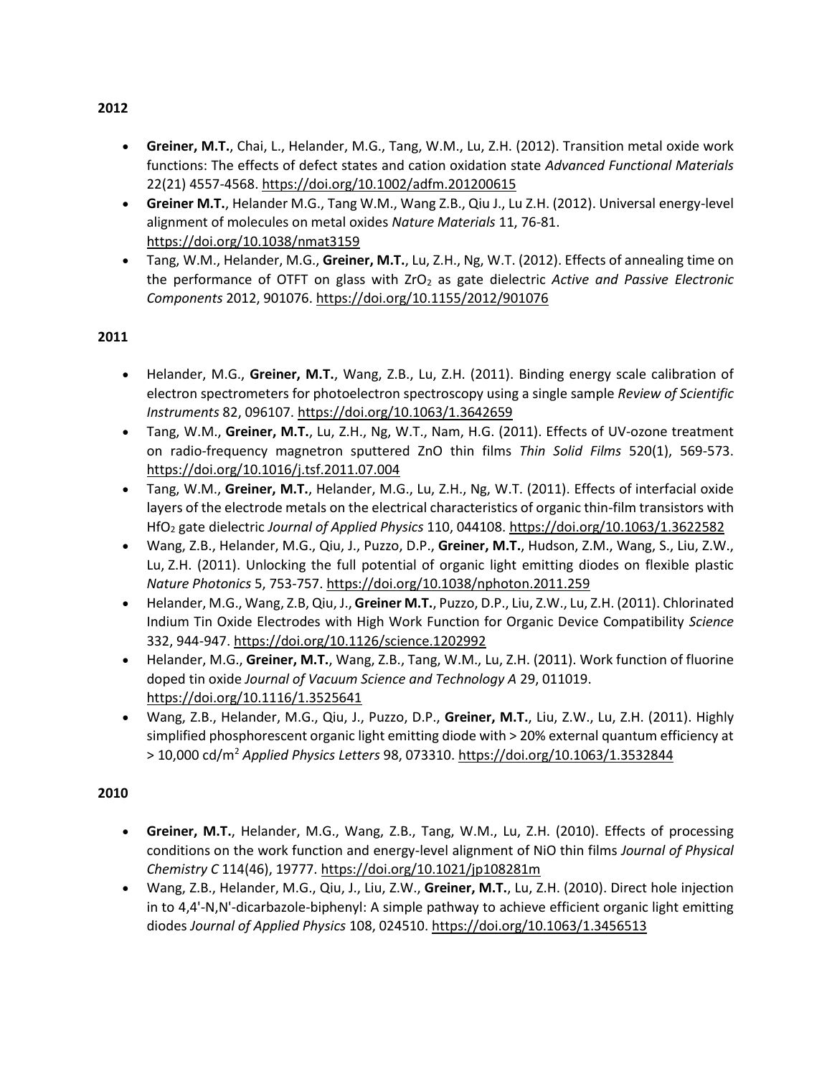- **Greiner, M.T.**, Chai, L., Helander, M.G., Tang, W.M., Lu, Z.H. (2012). Transition metal oxide work functions: The effects of defect states and cation oxidation state *Advanced Functional Materials* 22(21) 4557-4568. <https://doi.org/10.1002/adfm.201200615>
- **Greiner M.T.**, Helander M.G., Tang W.M., Wang Z.B., Qiu J., Lu Z.H. (2012). Universal energy-level alignment of molecules on metal oxides *Nature Materials* 11, 76-81. <https://doi.org/10.1038/nmat3159>
- Tang, W.M., Helander, M.G., **Greiner, M.T.**, Lu, Z.H., Ng, W.T. (2012). Effects of annealing time on the performance of OTFT on glass with ZrO<sub>2</sub> as gate dielectric *Active and Passive Electronic Components* 2012, 901076. <https://doi.org/10.1155/2012/901076>

- Helander, M.G., **Greiner, M.T.**, Wang, Z.B., Lu, Z.H. (2011). Binding energy scale calibration of electron spectrometers for photoelectron spectroscopy using a single sample *Review of Scientific Instruments* 82, 096107. <https://doi.org/10.1063/1.3642659>
- Tang, W.M., **Greiner, M.T.**, Lu, Z.H., Ng, W.T., Nam, H.G. (2011). Effects of UV-ozone treatment on radio-frequency magnetron sputtered ZnO thin films *Thin Solid Films* 520(1), 569-573. <https://doi.org/10.1016/j.tsf.2011.07.004>
- Tang, W.M., **Greiner, M.T.**, Helander, M.G., Lu, Z.H., Ng, W.T. (2011). Effects of interfacial oxide layers of the electrode metals on the electrical characteristics of organic thin-film transistors with HfO<sup>2</sup> gate dielectric *Journal of Applied Physics* 110, 044108. <https://doi.org/10.1063/1.3622582>
- Wang, Z.B., Helander, M.G., Qiu, J., Puzzo, D.P., **Greiner, M.T.**, Hudson, Z.M., Wang, S., Liu, Z.W., Lu, Z.H. (2011). Unlocking the full potential of organic light emitting diodes on flexible plastic *Nature Photonics* 5, 753-757.<https://doi.org/10.1038/nphoton.2011.259>
- Helander, M.G., Wang, Z.B, Qiu, J., **Greiner M.T.**, Puzzo, D.P., Liu, Z.W., Lu, Z.H. (2011). Chlorinated Indium Tin Oxide Electrodes with High Work Function for Organic Device Compatibility *Science* 332, 944-947.<https://doi.org/10.1126/science.1202992>
- Helander, M.G., **Greiner, M.T.**, Wang, Z.B., Tang, W.M., Lu, Z.H. (2011). Work function of fluorine doped tin oxide *Journal of Vacuum Science and Technology A* 29, 011019. <https://doi.org/10.1116/1.3525641>
- Wang, Z.B., Helander, M.G., Qiu, J., Puzzo, D.P., **Greiner, M.T.**, Liu, Z.W., Lu, Z.H. (2011). Highly simplified phosphorescent organic light emitting diode with > 20% external quantum efficiency at > 10,000 cd/m<sup>2</sup> *Applied Physics Letters* 98, 073310.<https://doi.org/10.1063/1.3532844>

## **2010**

- **Greiner, M.T.**, Helander, M.G., Wang, Z.B., Tang, W.M., Lu, Z.H. (2010). Effects of processing conditions on the work function and energy-level alignment of NiO thin films *Journal of Physical Chemistry C* 114(46), 19777. <https://doi.org/10.1021/jp108281m>
- Wang, Z.B., Helander, M.G., Qiu, J., Liu, Z.W., **Greiner, M.T.**, Lu, Z.H. (2010). Direct hole injection in to 4,4'-N,N'-dicarbazole-biphenyl: A simple pathway to achieve efficient organic light emitting diodes *Journal of Applied Physics* 108, 024510. <https://doi.org/10.1063/1.3456513>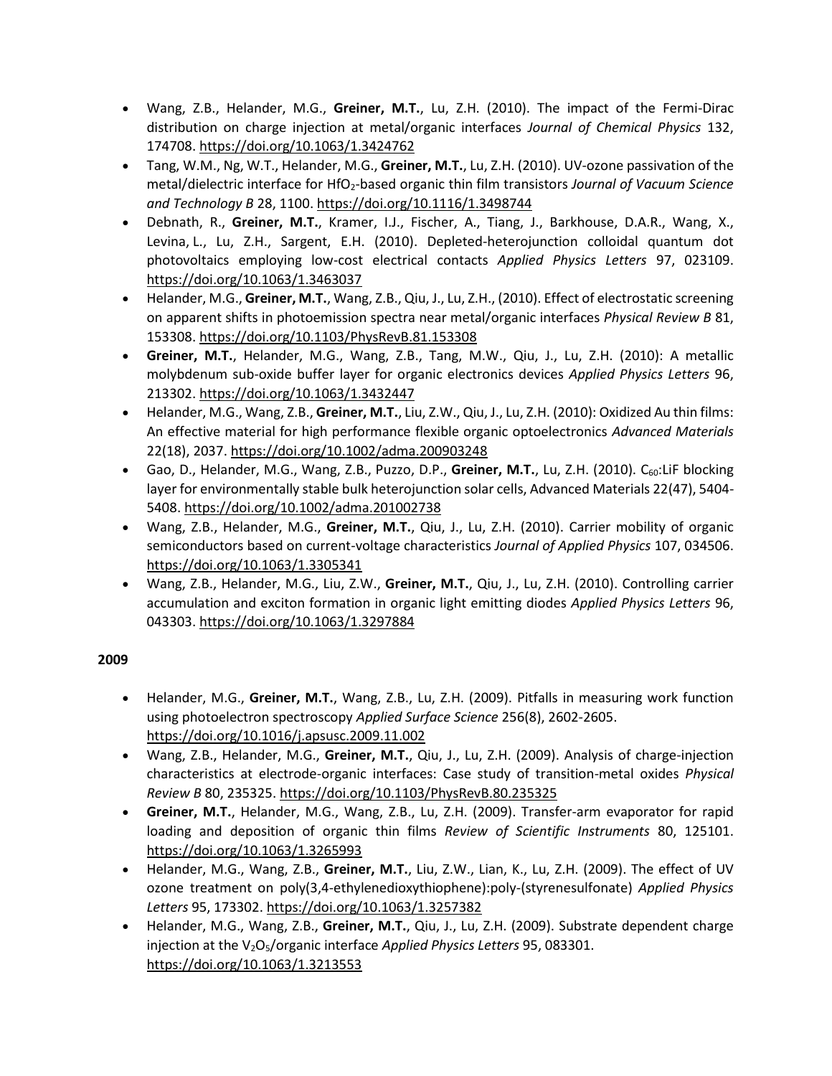- Wang, Z.B., Helander, M.G., **Greiner, M.T.**, Lu, Z.H. (2010). The impact of the Fermi-Dirac distribution on charge injection at metal/organic interfaces *Journal of Chemical Physics* 132, 174708. <https://doi.org/10.1063/1.3424762>
- Tang, W.M., Ng, W.T., Helander, M.G., **Greiner, M.T.**, Lu, Z.H. (2010). UV-ozone passivation of the metal/dielectric interface for HfO<sub>2</sub>-based organic thin film transistors *Journal of Vacuum Science and Technology B* 28, 1100. <https://doi.org/10.1116/1.3498744>
- Debnath, R., **Greiner, M.T.**, Kramer, I.J., Fischer, A., Tiang, J., Barkhouse, D.A.R., Wang, X., Levina, L., Lu, Z.H., Sargent, E.H. (2010). Depleted-heterojunction colloidal quantum dot photovoltaics employing low-cost electrical contacts *Applied Physics Letters* 97, 023109. <https://doi.org/10.1063/1.3463037>
- Helander, M.G., **Greiner, M.T.**, Wang, Z.B., Qiu, J., Lu, Z.H., (2010). Effect of electrostatic screening on apparent shifts in photoemission spectra near metal/organic interfaces *Physical Review B* 81, 153308. <https://doi.org/10.1103/PhysRevB.81.153308>
- **Greiner, M.T.**, Helander, M.G., Wang, Z.B., Tang, M.W., Qiu, J., Lu, Z.H. (2010): A metallic molybdenum sub-oxide buffer layer for organic electronics devices *Applied Physics Letters* 96, 213302. <https://doi.org/10.1063/1.3432447>
- Helander, M.G., Wang, Z.B., **Greiner, M.T.**, Liu, Z.W., Qiu, J., Lu, Z.H. (2010): Oxidized Au thin films: An effective material for high performance flexible organic optoelectronics *Advanced Materials* 22(18), 2037. <https://doi.org/10.1002/adma.200903248>
- Gao, D., Helander, M.G., Wang, Z.B., Puzzo, D.P., Greiner, M.T., Lu, Z.H. (2010). C<sub>60</sub>:LiF blocking layer for environmentally stable bulk heterojunction solar cells, Advanced Materials 22(47), 5404- 5408[. https://doi.org/10.1002/adma.201002738](https://doi.org/10.1002/adma.201002738)
- Wang, Z.B., Helander, M.G., **Greiner, M.T.**, Qiu, J., Lu, Z.H. (2010). Carrier mobility of organic semiconductors based on current-voltage characteristics *Journal of Applied Physics* 107, 034506. <https://doi.org/10.1063/1.3305341>
- Wang, Z.B., Helander, M.G., Liu, Z.W., **Greiner, M.T.**, Qiu, J., Lu, Z.H. (2010). Controlling carrier accumulation and exciton formation in organic light emitting diodes *Applied Physics Letters* 96, 043303. <https://doi.org/10.1063/1.3297884>

- Helander, M.G., **Greiner, M.T.**, Wang, Z.B., Lu, Z.H. (2009). Pitfalls in measuring work function using photoelectron spectroscopy *Applied Surface Science* 256(8), 2602-2605. <https://doi.org/10.1016/j.apsusc.2009.11.002>
- Wang, Z.B., Helander, M.G., **Greiner, M.T.**, Qiu, J., Lu, Z.H. (2009). Analysis of charge-injection characteristics at electrode-organic interfaces: Case study of transition-metal oxides *Physical Review B* 80, 235325. <https://doi.org/10.1103/PhysRevB.80.235325>
- **Greiner, M.T.**, Helander, M.G., Wang, Z.B., Lu, Z.H. (2009). Transfer-arm evaporator for rapid loading and deposition of organic thin films *Review of Scientific Instruments* 80, 125101. <https://doi.org/10.1063/1.3265993>
- Helander, M.G., Wang, Z.B., **Greiner, M.T.**, Liu, Z.W., Lian, K., Lu, Z.H. (2009). The effect of UV ozone treatment on poly(3,4-ethylenedioxythiophene):poly-(styrenesulfonate) *Applied Physics Letters* 95, 173302. <https://doi.org/10.1063/1.3257382>
- Helander, M.G., Wang, Z.B., **Greiner, M.T.**, Qiu, J., Lu, Z.H. (2009). Substrate dependent charge injection at the V<sub>2</sub>O<sub>5</sub>/organic interface *Applied Physics Letters* 95, 083301. <https://doi.org/10.1063/1.3213553>